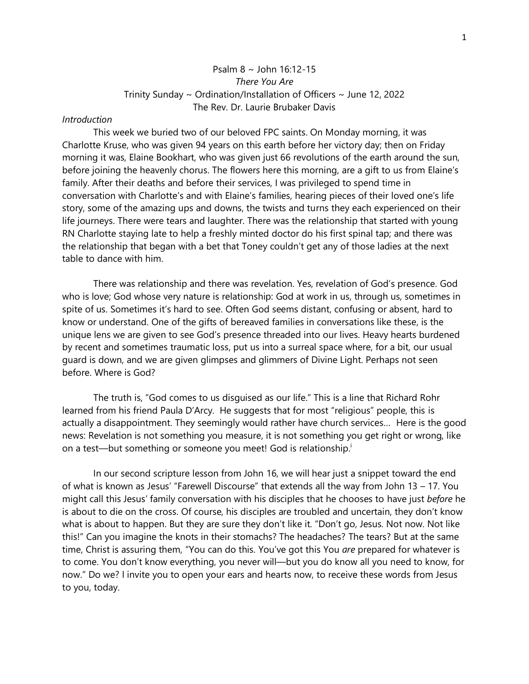## Psalm 8 ~ John 16:12-15 *There You Are* Trinity Sunday ~ Ordination/Installation of Officers ~ June 12, 2022 The Rev. Dr. Laurie Brubaker Davis

## *Introduction*

This week we buried two of our beloved FPC saints. On Monday morning, it was Charlotte Kruse, who was given 94 years on this earth before her victory day; then on Friday morning it was, Elaine Bookhart, who was given just 66 revolutions of the earth around the sun, before joining the heavenly chorus. The flowers here this morning, are a gift to us from Elaine's family. After their deaths and before their services, I was privileged to spend time in conversation with Charlotte's and with Elaine's families, hearing pieces of their loved one's life story, some of the amazing ups and downs, the twists and turns they each experienced on their life journeys. There were tears and laughter. There was the relationship that started with young RN Charlotte staying late to help a freshly minted doctor do his first spinal tap; and there was the relationship that began with a bet that Toney couldn't get any of those ladies at the next table to dance with him.

There was relationship and there was revelation. Yes, revelation of God's presence. God who is love; God whose very nature is relationship: God at work in us, through us, sometimes in spite of us. Sometimes it's hard to see. Often God seems distant, confusing or absent, hard to know or understand. One of the gifts of bereaved families in conversations like these, is the unique lens we are given to see God's presence threaded into our lives. Heavy hearts burdened by recent and sometimes traumatic loss, put us into a surreal space where, for a bit, our usual guard is down, and we are given glimpses and glimmers of Divine Light. Perhaps not seen before. Where is God?

The truth is, "God comes to us disguised as our life." This is a line that Richard Rohr learned from his friend Paula D'Arcy. He suggests that for most "religious" people, this is actually a disappointment. They seemingly would rather have church services… Here is the good news: Revelation is not something you measure, it is not something you get right or wrong, like on a test—but something or someone you meet! God is relationship.<sup>i</sup>

In our second scripture lesson from John 16, we will hear just a snippet toward the end of what is known as Jesus' "Farewell Discourse" that extends all the way from John 13 – 17. You might call this Jesus' family conversation with his disciples that he chooses to have just *before* he is about to die on the cross. Of course, his disciples are troubled and uncertain, they don't know what is about to happen. But they are sure they don't like it. "Don't go, Jesus. Not now. Not like this!" Can you imagine the knots in their stomachs? The headaches? The tears? But at the same time, Christ is assuring them, "You can do this. You've got this You *are* prepared for whatever is to come. You don't know everything, you never will—but you do know all you need to know, for now." Do we? I invite you to open your ears and hearts now, to receive these words from Jesus to you, today.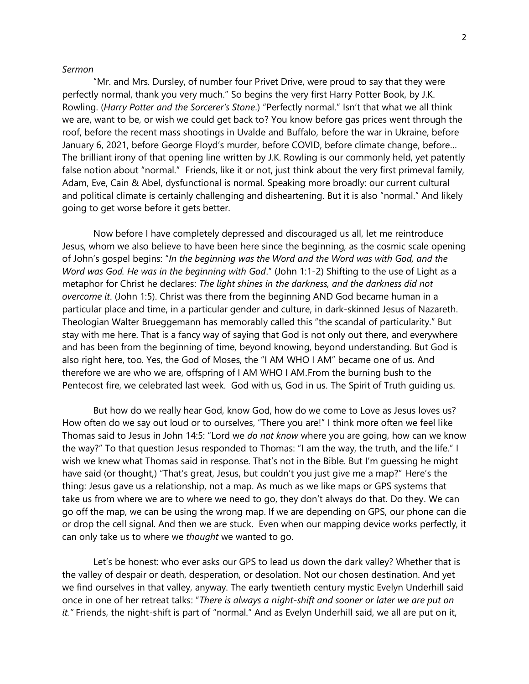## *Sermon*

"Mr. and Mrs. Dursley, of number four Privet Drive, were proud to say that they were perfectly normal, thank you very much." So begins the very first Harry Potter Book, by J.K. Rowling. (*Harry Potter and the Sorcerer's Stone*.) "Perfectly normal." Isn't that what we all think we are, want to be, or wish we could get back to? You know before gas prices went through the roof, before the recent mass shootings in Uvalde and Buffalo, before the war in Ukraine, before January 6, 2021, before George Floyd's murder, before COVID, before climate change, before… The brilliant irony of that opening line written by J.K. Rowling is our commonly held, yet patently false notion about "normal." Friends, like it or not, just think about the very first primeval family, Adam, Eve, Cain & Abel, dysfunctional is normal. Speaking more broadly: our current cultural and political climate is certainly challenging and disheartening. But it is also "normal." And likely going to get worse before it gets better.

Now before I have completely depressed and discouraged us all, let me reintroduce Jesus, whom we also believe to have been here since the beginning, as the cosmic scale opening of John's gospel begins: "*In the beginning was the Word and the Word was with God, and the Word was God. He was in the beginning with God*." (John 1:1-2) Shifting to the use of Light as a metaphor for Christ he declares: *The light shines in the darkness, and the darkness did not overcome it*. (John 1:5). Christ was there from the beginning AND God became human in a particular place and time, in a particular gender and culture, in dark-skinned Jesus of Nazareth. Theologian Walter Brueggemann has memorably called this "the scandal of particularity." But stay with me here. That is a fancy way of saying that God is not only out there, and everywhere and has been from the beginning of time, beyond knowing, beyond understanding. But God is also right here, too. Yes, the God of Moses, the "I AM WHO I AM" became one of us. And therefore we are who we are, offspring of I AM WHO I AM.From the burning bush to the Pentecost fire, we celebrated last week. God with us, God in us. The Spirit of Truth guiding us.

But how do we really hear God, know God, how do we come to Love as Jesus loves us? How often do we say out loud or to ourselves, "There you are!" I think more often we feel like Thomas said to Jesus in John 14:5: "Lord we *do not know* where you are going, how can we know the way?" To that question Jesus responded to Thomas: "I am the way, the truth, and the life." I wish we knew what Thomas said in response. That's not in the Bible. But I'm guessing he might have said (or thought,) "That's great, Jesus, but couldn't you just give me a map?" Here's the thing: Jesus gave us a relationship, not a map. As much as we like maps or GPS systems that take us from where we are to where we need to go, they don't always do that. Do they. We can go off the map, we can be using the wrong map. If we are depending on GPS, our phone can die or drop the cell signal. And then we are stuck. Even when our mapping device works perfectly, it can only take us to where we *thought* we wanted to go.

Let's be honest: who ever asks our GPS to lead us down the dark valley? Whether that is the valley of despair or death, desperation, or desolation. Not our chosen destination. And yet we find ourselves in that valley, anyway. The early twentieth century mystic Evelyn Underhill said once in one of her retreat talks: "*There is always a night-shift and sooner or later we are put on*  it.<sup>"</sup> Friends, the night-shift is part of "normal." And as Evelyn Underhill said, we all are put on it,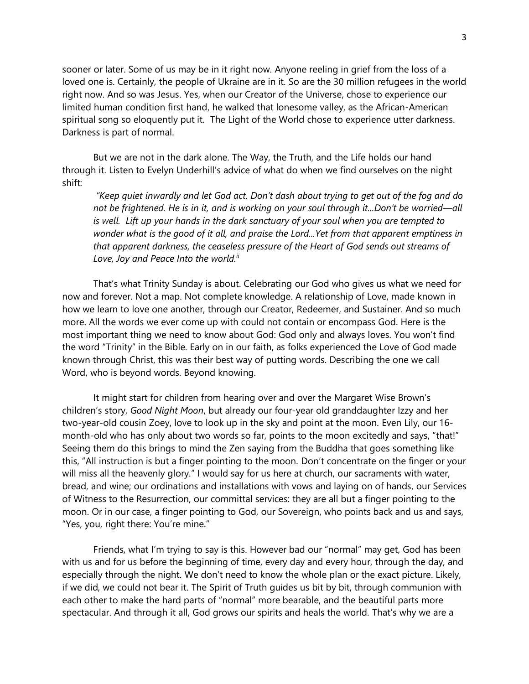sooner or later. Some of us may be in it right now. Anyone reeling in grief from the loss of a loved one is. Certainly, the people of Ukraine are in it. So are the 30 million refugees in the world right now. And so was Jesus. Yes, when our Creator of the Universe, chose to experience our limited human condition first hand, he walked that lonesome valley, as the African-American spiritual song so eloquently put it. The Light of the World chose to experience utter darkness. Darkness is part of normal.

But we are not in the dark alone. The Way, the Truth, and the Life holds our hand through it. Listen to Evelyn Underhill's advice of what do when we find ourselves on the night shift:

*"Keep quiet inwardly and let God act. Don't dash about trying to get out of the fog and do not be frightened. He is in it, and is working on your soul through it...Don't be worried—all is well. Lift up your hands in the dark sanctuary of your soul when you are tempted to wonder what is the good of it all, and praise the Lord...Yet from that apparent emptiness in that apparent darkness, the ceaseless pressure of the Heart of God sends out streams of Love, Joy and Peace Into the world.ii*

That's what Trinity Sunday is about. Celebrating our God who gives us what we need for now and forever. Not a map. Not complete knowledge. A relationship of Love, made known in how we learn to love one another, through our Creator, Redeemer, and Sustainer. And so much more. All the words we ever come up with could not contain or encompass God. Here is the most important thing we need to know about God: God only and always loves. You won't find the word "Trinity" in the Bible. Early on in our faith, as folks experienced the Love of God made known through Christ, this was their best way of putting words. Describing the one we call Word, who is beyond words. Beyond knowing.

It might start for children from hearing over and over the Margaret Wise Brown's children's story, *Good Night Moon*, but already our four-year old granddaughter Izzy and her two-year-old cousin Zoey, love to look up in the sky and point at the moon. Even Lily, our 16 month-old who has only about two words so far, points to the moon excitedly and says, "that!" Seeing them do this brings to mind the Zen saying from the Buddha that goes something like this, "All instruction is but a finger pointing to the moon. Don't concentrate on the finger or your will miss all the heavenly glory." I would say for us here at church, our sacraments with water, bread, and wine; our ordinations and installations with vows and laying on of hands, our Services of Witness to the Resurrection, our committal services: they are all but a finger pointing to the moon. Or in our case, a finger pointing to God, our Sovereign, who points back and us and says, "Yes, you, right there: You're mine."

Friends, what I'm trying to say is this. However bad our "normal" may get, God has been with us and for us before the beginning of time, every day and every hour, through the day, and especially through the night. We don't need to know the whole plan or the exact picture. Likely, if we did, we could not bear it. The Spirit of Truth guides us bit by bit, through communion with each other to make the hard parts of "normal" more bearable, and the beautiful parts more spectacular. And through it all, God grows our spirits and heals the world. That's why we are a